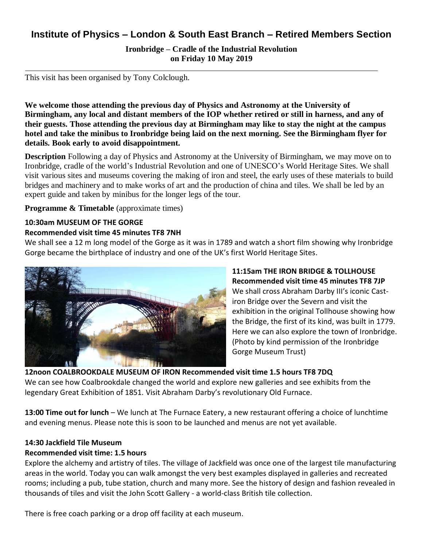## **Institute of Physics – London & South East Branch – Retired Members Section**

**Ironbridge – Cradle of the Industrial Revolution on Friday 10 May 2019**

This visit has been organised by Tony Colclough.

**We welcome those attending the previous day of Physics and Astronomy at the University of Birmingham, any local and distant members of the IOP whether retired or still in harness, and any of their guests. Those attending the previous day at Birmingham may like to stay the night at the campus hotel and take the minibus to Ironbridge being laid on the next morning. See the Birmingham flyer for details. Book early to avoid disappointment.**

**Description** Following a day of Physics and Astronomy at the University of Birmingham, we may move on to Ironbridge, cradle of the world's Industrial Revolution and one of UNESCO's World Heritage Sites. We shall visit various sites and museums covering the making of iron and steel, the early uses of these materials to build bridges and machinery and to make works of art and the production of china and tiles. We shall be led by an expert guide and taken by minibus for the longer legs of the tour.

**Programme & Timetable** (approximate times)

### **10:30am MUSEUM OF THE GORGE**

#### **Recommended visit time 45 minutes TF8 7NH**

We shall see a 12 m long model of the Gorge as it was in 1789 and watch a short film showing why Ironbridge Gorge became the birthplace of industry and one of the UK's first World Heritage Sites.



**11:15am THE IRON BRIDGE & TOLLHOUSE Recommended visit time 45 minutes TF8 7JP** We shall cross Abraham Darby III's iconic Castiron Bridge over the Severn and visit the exhibition in the original Tollhouse showing how the Bridge, the first of its kind, was built in 1779. Here we can also explore the town of Ironbridge. (Photo by kind permission of the Ironbridge Gorge Museum Trust)

# **12noon COALBROOKDALE MUSEUM OF IRON Recommended visit time 1.5 hours TF8 7DQ**

We can see how Coalbrookdale changed the world and explore new galleries and see exhibits from the legendary Great Exhibition of 1851. Visit Abraham Darby's revolutionary Old Furnace.

**13:00 Time out for lunch** – We lunch at The Furnace Eatery, a new restaurant offering a choice of lunchtime and evening menus. Please note this is soon to be launched and menus are not yet available.

### **14:30 Jackfield Tile Museum**

#### **Recommended visit time: 1.5 hours**

Explore the alchemy and artistry of tiles. The village of Jackfield was once one of the largest tile manufacturing areas in the world. Today you can walk amongst the very best examples displayed in galleries and recreated rooms; including a pub, tube station, church and many more. See the history of design and fashion revealed in thousands of tiles and visit the John Scott Gallery - a world-class British tile collection.

There is free coach parking or a drop off facility at each museum.